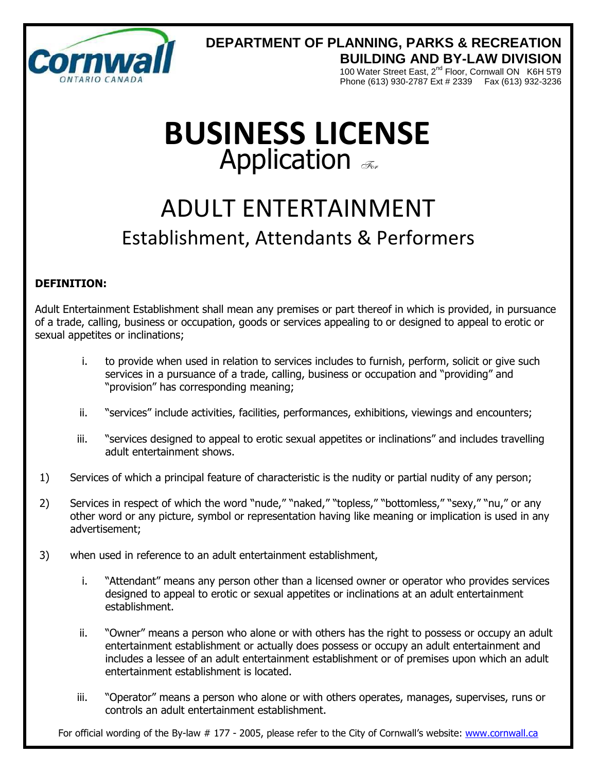

### **DEPARTMENT OF PLANNING, PARKS & RECREATION BUILDING AND BY-LAW DIVISION**

100 Water Street East, 2<sup>nd</sup> Floor, Cornwall ON K6H 5T9 Phone (613) 930-2787 Ext # 2339 Fax (613) 932-3236

# **BUSINESS LICENSE** Application  $\mathcal{F}_{\mathcal{F}_{\alpha}}$

## ADULT ENTERTAINMENT Establishment, Attendants & Performers

#### **DEFINITION:**

Adult Entertainment Establishment shall mean any premises or part thereof in which is provided, in pursuance of a trade, calling, business or occupation, goods or services appealing to or designed to appeal to erotic or sexual appetites or inclinations;

- i. to provide when used in relation to services includes to furnish, perform, solicit or give such services in a pursuance of a trade, calling, business or occupation and "providing" and "provision" has corresponding meaning;
- ii. "services" include activities, facilities, performances, exhibitions, viewings and encounters;
- iii. "services designed to appeal to erotic sexual appetites or inclinations" and includes travelling adult entertainment shows.
- 1) Services of which a principal feature of characteristic is the nudity or partial nudity of any person;
- 2) Services in respect of which the word "nude," "naked," "topless," "bottomless," "sexy," "nu," or any other word or any picture, symbol or representation having like meaning or implication is used in any advertisement;
- 3) when used in reference to an adult entertainment establishment,
	- i. "Attendant" means any person other than a licensed owner or operator who provides services designed to appeal to erotic or sexual appetites or inclinations at an adult entertainment establishment.
	- ii. "Owner" means a person who alone or with others has the right to possess or occupy an adult entertainment establishment or actually does possess or occupy an adult entertainment and includes a lessee of an adult entertainment establishment or of premises upon which an adult entertainment establishment is located.
	- iii. "Operator" means a person who alone or with others operates, manages, supervises, runs or controls an adult entertainment establishment.

For official wording of the By-law # 177 - 2005, please refer to the City of Cornwall's website: www.cornwall.ca